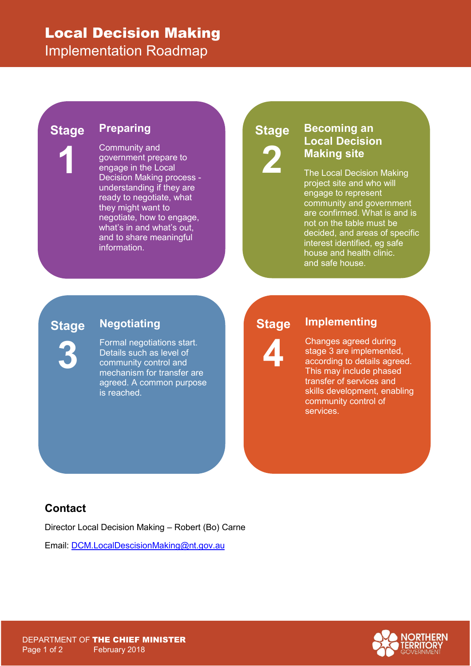## Local Decision Making

Implementation Roadmap

#### **Preparing Stage**

**1**

Community and government prepare to engage in the Local Decision Making process understanding if they are ready to negotiate, what they might want to negotiate, how to engage, what's in and what's out, and to share meaningful information.

# **Stage 2**

#### **Becoming an Local Decision Making site**

The Local Decision Making project site and who will engage to represent community and government are confirmed. What is and is not on the table must be decided, and areas of specific interest identified, eg safe house and health clinic. and safe house.

#### **Stage**

**3**

**Negotiating**

Formal negotiations start. Details such as level of community control and mechanism for transfer are agreed. A common purpose is reached.

#### **Stage**



#### **Implementing**

Changes agreed during stage 3 are implemented, according to details agreed. This may include phased transfer of services and skills development, enabling community control of services.

#### **Contact**

Director Local Decision Making – Robert (Bo) Carne

Email: [DCM.LocalDescisionMaking@nt.gov.au](mailto:DCM.LocalDescisionMaking@nt.gov.au)